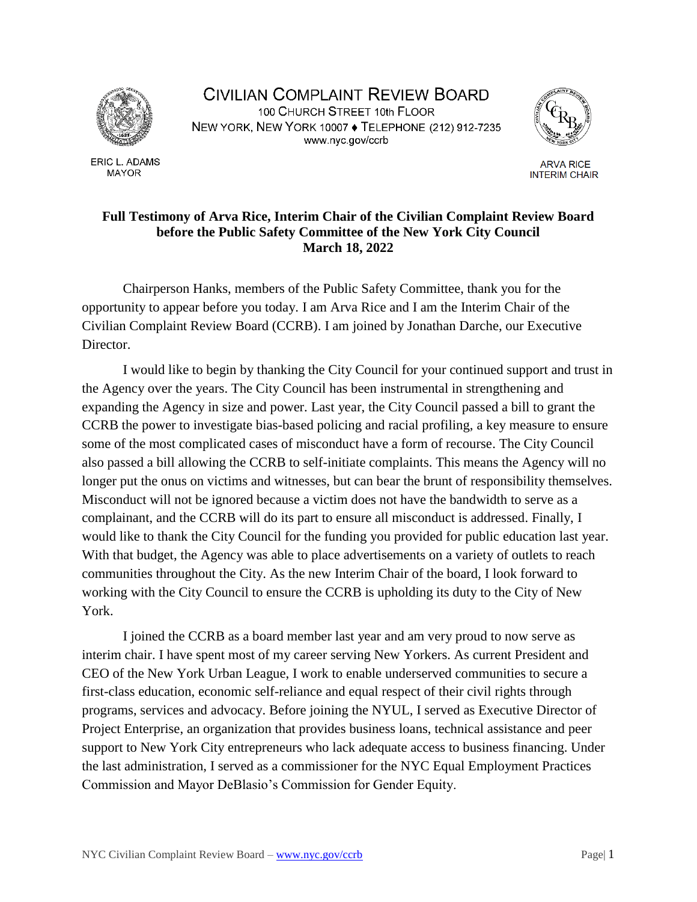

ERIC L. ADAMS **MAYOR** 

**CIVILIAN COMPLAINT REVIEW BOARD** 100 CHURCH STREET 10th FLOOR NEW YORK, NEW YORK 10007 . TELEPHONE (212) 912-7235 www.nyc.gov/ccrb



**ARVA RICE INTERIM CHAIR** 

## **Full Testimony of Arva Rice, Interim Chair of the Civilian Complaint Review Board before the Public Safety Committee of the New York City Council March 18, 2022**

Chairperson Hanks, members of the Public Safety Committee, thank you for the opportunity to appear before you today. I am Arva Rice and I am the Interim Chair of the Civilian Complaint Review Board (CCRB). I am joined by Jonathan Darche, our Executive Director.

I would like to begin by thanking the City Council for your continued support and trust in the Agency over the years. The City Council has been instrumental in strengthening and expanding the Agency in size and power. Last year, the City Council passed a bill to grant the CCRB the power to investigate bias-based policing and racial profiling, a key measure to ensure some of the most complicated cases of misconduct have a form of recourse. The City Council also passed a bill allowing the CCRB to self-initiate complaints. This means the Agency will no longer put the onus on victims and witnesses, but can bear the brunt of responsibility themselves. Misconduct will not be ignored because a victim does not have the bandwidth to serve as a complainant, and the CCRB will do its part to ensure all misconduct is addressed. Finally, I would like to thank the City Council for the funding you provided for public education last year. With that budget, the Agency was able to place advertisements on a variety of outlets to reach communities throughout the City. As the new Interim Chair of the board, I look forward to working with the City Council to ensure the CCRB is upholding its duty to the City of New York.

I joined the CCRB as a board member last year and am very proud to now serve as interim chair. I have spent most of my career serving New Yorkers. As current President and CEO of the New York Urban League, I work to enable underserved communities to secure a first-class education, economic self-reliance and equal respect of their civil rights through programs, services and advocacy. Before joining the NYUL, I served as Executive Director of Project Enterprise, an organization that provides business loans, technical assistance and peer support to New York City entrepreneurs who lack adequate access to business financing. Under the last administration, I served as a commissioner for the NYC Equal Employment Practices Commission and Mayor DeBlasio's Commission for Gender Equity.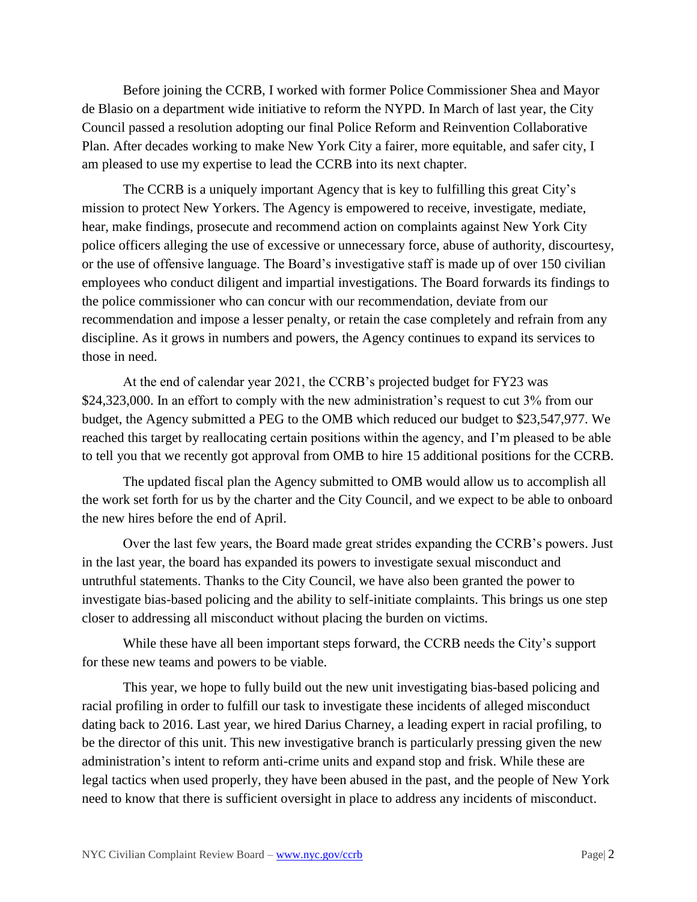Before joining the CCRB, I worked with former Police Commissioner Shea and Mayor de Blasio on a department wide initiative to reform the NYPD. In March of last year, the City Council passed a resolution adopting our final Police Reform and Reinvention Collaborative Plan. After decades working to make New York City a fairer, more equitable, and safer city, I am pleased to use my expertise to lead the CCRB into its next chapter.

The CCRB is a uniquely important Agency that is key to fulfilling this great City's mission to protect New Yorkers. The Agency is empowered to receive, investigate, mediate, hear, make findings, prosecute and recommend action on complaints against New York City police officers alleging the use of excessive or unnecessary force, abuse of authority, discourtesy, or the use of offensive language. The Board's investigative staff is made up of over 150 civilian employees who conduct diligent and impartial investigations. The Board forwards its findings to the police commissioner who can concur with our recommendation, deviate from our recommendation and impose a lesser penalty, or retain the case completely and refrain from any discipline. As it grows in numbers and powers, the Agency continues to expand its services to those in need.

At the end of calendar year 2021, the CCRB's projected budget for FY23 was \$24,323,000. In an effort to comply with the new administration's request to cut 3% from our budget, the Agency submitted a PEG to the OMB which reduced our budget to \$23,547,977. We reached this target by reallocating certain positions within the agency, and I'm pleased to be able to tell you that we recently got approval from OMB to hire 15 additional positions for the CCRB.

The updated fiscal plan the Agency submitted to OMB would allow us to accomplish all the work set forth for us by the charter and the City Council, and we expect to be able to onboard the new hires before the end of April.

Over the last few years, the Board made great strides expanding the CCRB's powers. Just in the last year, the board has expanded its powers to investigate sexual misconduct and untruthful statements. Thanks to the City Council, we have also been granted the power to investigate bias-based policing and the ability to self-initiate complaints. This brings us one step closer to addressing all misconduct without placing the burden on victims.

While these have all been important steps forward, the CCRB needs the City's support for these new teams and powers to be viable.

This year, we hope to fully build out the new unit investigating bias-based policing and racial profiling in order to fulfill our task to investigate these incidents of alleged misconduct dating back to 2016. Last year, we hired Darius Charney, a leading expert in racial profiling, to be the director of this unit. This new investigative branch is particularly pressing given the new administration's intent to reform anti-crime units and expand stop and frisk. While these are legal tactics when used properly, they have been abused in the past, and the people of New York need to know that there is sufficient oversight in place to address any incidents of misconduct.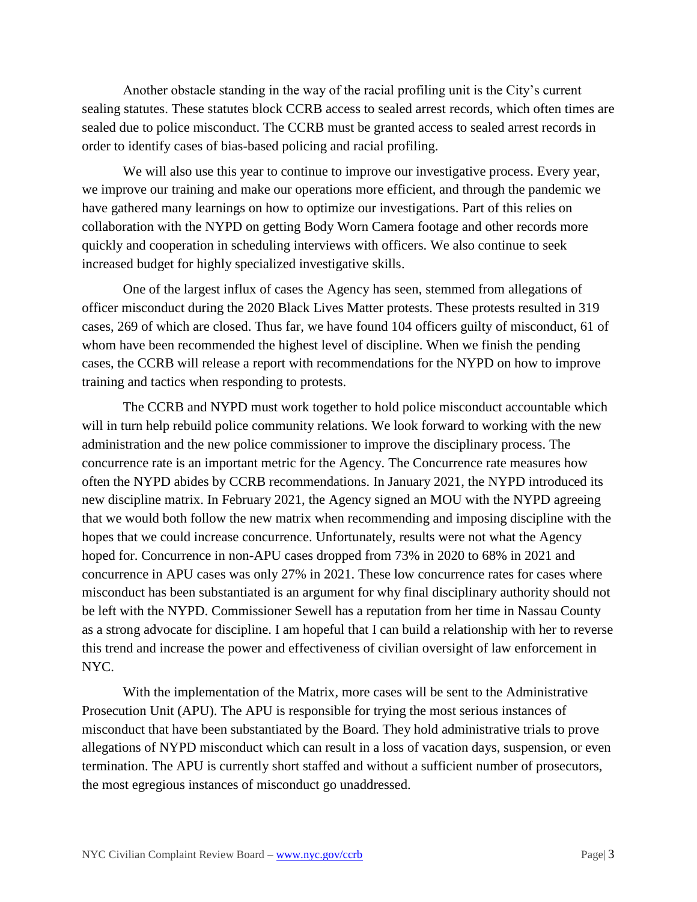Another obstacle standing in the way of the racial profiling unit is the City's current sealing statutes. These statutes block CCRB access to sealed arrest records, which often times are sealed due to police misconduct. The CCRB must be granted access to sealed arrest records in order to identify cases of bias-based policing and racial profiling.

We will also use this year to continue to improve our investigative process. Every year, we improve our training and make our operations more efficient, and through the pandemic we have gathered many learnings on how to optimize our investigations. Part of this relies on collaboration with the NYPD on getting Body Worn Camera footage and other records more quickly and cooperation in scheduling interviews with officers. We also continue to seek increased budget for highly specialized investigative skills.

One of the largest influx of cases the Agency has seen, stemmed from allegations of officer misconduct during the 2020 Black Lives Matter protests. These protests resulted in 319 cases, 269 of which are closed. Thus far, we have found 104 officers guilty of misconduct, 61 of whom have been recommended the highest level of discipline. When we finish the pending cases, the CCRB will release a report with recommendations for the NYPD on how to improve training and tactics when responding to protests.

The CCRB and NYPD must work together to hold police misconduct accountable which will in turn help rebuild police community relations. We look forward to working with the new administration and the new police commissioner to improve the disciplinary process. The concurrence rate is an important metric for the Agency. The Concurrence rate measures how often the NYPD abides by CCRB recommendations. In January 2021, the NYPD introduced its new discipline matrix. In February 2021, the Agency signed an MOU with the NYPD agreeing that we would both follow the new matrix when recommending and imposing discipline with the hopes that we could increase concurrence. Unfortunately, results were not what the Agency hoped for. Concurrence in non-APU cases dropped from 73% in 2020 to 68% in 2021 and concurrence in APU cases was only 27% in 2021. These low concurrence rates for cases where misconduct has been substantiated is an argument for why final disciplinary authority should not be left with the NYPD. Commissioner Sewell has a reputation from her time in Nassau County as a strong advocate for discipline. I am hopeful that I can build a relationship with her to reverse this trend and increase the power and effectiveness of civilian oversight of law enforcement in NYC.

With the implementation of the Matrix, more cases will be sent to the Administrative Prosecution Unit (APU). The APU is responsible for trying the most serious instances of misconduct that have been substantiated by the Board. They hold administrative trials to prove allegations of NYPD misconduct which can result in a loss of vacation days, suspension, or even termination. The APU is currently short staffed and without a sufficient number of prosecutors, the most egregious instances of misconduct go unaddressed.